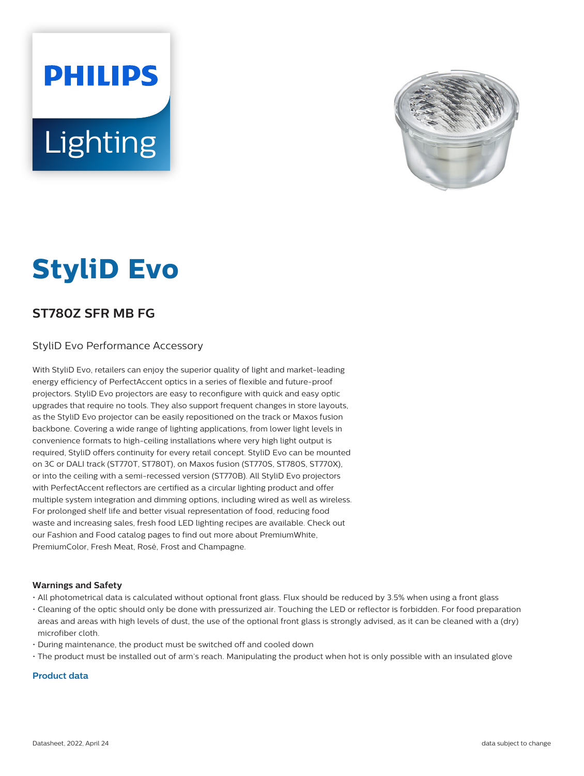# **PHILIPS** Lighting



# **StyliD Evo**

## **ST780Z SFR MB FG**

#### StyliD Evo Performance Accessory

With StyliD Evo, retailers can enjoy the superior quality of light and market-leading energy efficiency of PerfectAccent optics in a series of flexible and future-proof projectors. StyliD Evo projectors are easy to reconfigure with quick and easy optic upgrades that require no tools. They also support frequent changes in store layouts, as the StyliD Evo projector can be easily repositioned on the track or Maxos fusion backbone. Covering a wide range of lighting applications, from lower light levels in convenience formats to high-ceiling installations where very high light output is required, StyliD offers continuity for every retail concept. StyliD Evo can be mounted on 3C or DALI track (ST770T, ST780T), on Maxos fusion (ST770S, ST780S, ST770X), or into the ceiling with a semi-recessed version (ST770B). All StyliD Evo projectors with PerfectAccent reflectors are certified as a circular lighting product and offer multiple system integration and dimming options, including wired as well as wireless. For prolonged shelf life and better visual representation of food, reducing food waste and increasing sales, fresh food LED lighting recipes are available. Check out our Fashion and Food catalog pages to find out more about PremiumWhite, PremiumColor, Fresh Meat, Rosé, Frost and Champagne.

#### **Warnings and Safety**

- All photometrical data is calculated without optional front glass. Flux should be reduced by 3.5% when using a front glass
- Cleaning of the optic should only be done with pressurized air. Touching the LED or reflector is forbidden. For food preparation areas and areas with high levels of dust, the use of the optional front glass is strongly advised, as it can be cleaned with a (dry) microfiber cloth.
- During maintenance, the product must be switched off and cooled down
- The product must be installed out of arm's reach. Manipulating the product when hot is only possible with an insulated glove

#### **Product data**